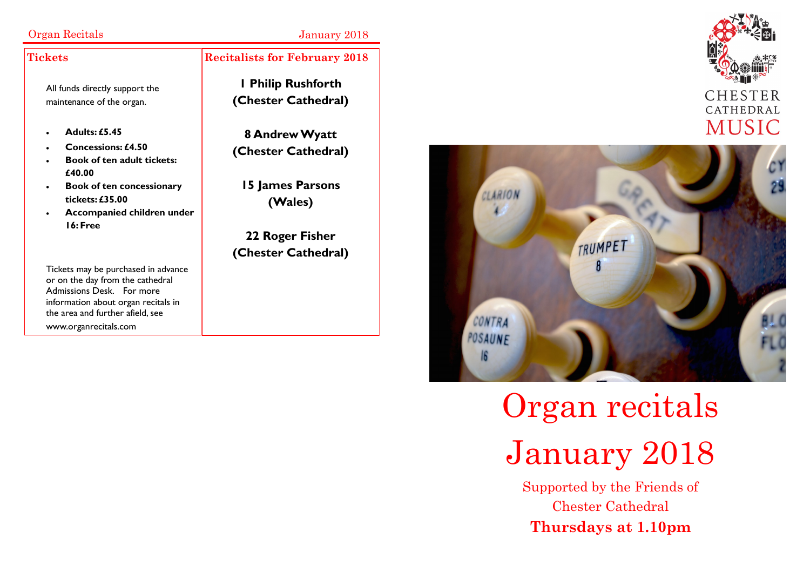### Organ Recitals January 2018

#### **Tickets**

All funds directly support the maintenance of the organ.

- **Adults: £5.45**
- **Concessions: £4.50**
- **Book of ten adult tickets: £40.00**
- **Book of ten concessionary tickets: £35.00**
- **Accompanied children under 16: Free**

Tickets may be purchased in advance or on the day from the cathedral Admissions Desk. For more information about organ recitals in the area and further afield, see www.organrecitals.com

### **Recitalists for February 2018**

**1 Philip Rushforth (Chester Cathedral)**

**8 Andrew Wyatt (Chester Cathedral)**

**15 James Parsons (Wales)**

**22 Roger Fisher (Chester Cathedral)**



# Organ recitals January 2018

Supported by the Friends of Chester Cathedral **Thursdays at 1.10pm**



CHESTER CATHEDRAL **MUSIC**